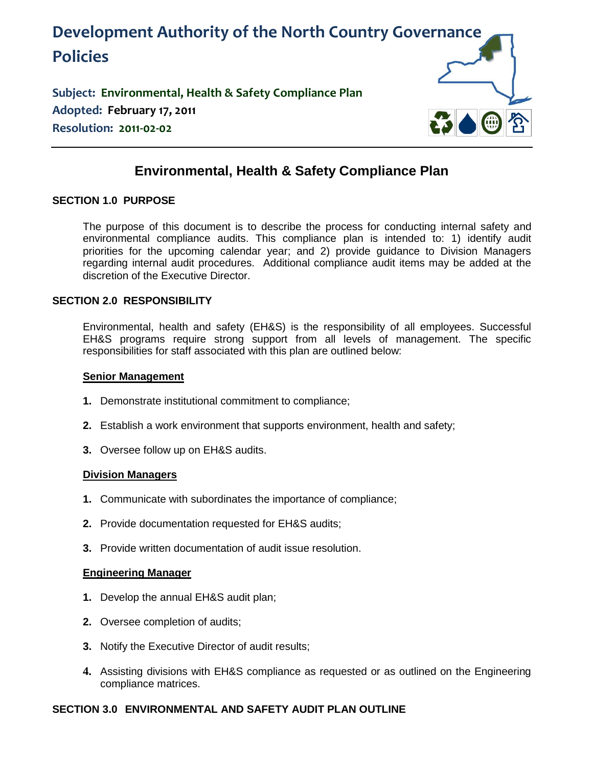

**Subject: Environmental, Health & Safety Compliance Plan Adopted: February 17, 2011 Resolution: 2011-02-02**



# **Environmental, Health & Safety Compliance Plan**

## **SECTION 1.0 PURPOSE**

The purpose of this document is to describe the process for conducting internal safety and environmental compliance audits. This compliance plan is intended to: 1) identify audit priorities for the upcoming calendar year; and 2) provide guidance to Division Managers regarding internal audit procedures. Additional compliance audit items may be added at the discretion of the Executive Director.

# **SECTION 2.0 RESPONSIBILITY**

Environmental, health and safety (EH&S) is the responsibility of all employees. Successful EH&S programs require strong support from all levels of management. The specific responsibilities for staff associated with this plan are outlined below:

#### **Senior Management**

- **1.** Demonstrate institutional commitment to compliance;
- **2.** Establish a work environment that supports environment, health and safety;
- **3.** Oversee follow up on EH&S audits.

## **Division Managers**

- **1.** Communicate with subordinates the importance of compliance;
- **2.** Provide documentation requested for EH&S audits;
- **3.** Provide written documentation of audit issue resolution.

#### **Engineering Manager**

- **1.** Develop the annual EH&S audit plan;
- **2.** Oversee completion of audits;
- **3.** Notify the Executive Director of audit results;
- **4.** Assisting divisions with EH&S compliance as requested or as outlined on the Engineering compliance matrices.

## **SECTION 3.0 ENVIRONMENTAL AND SAFETY AUDIT PLAN OUTLINE**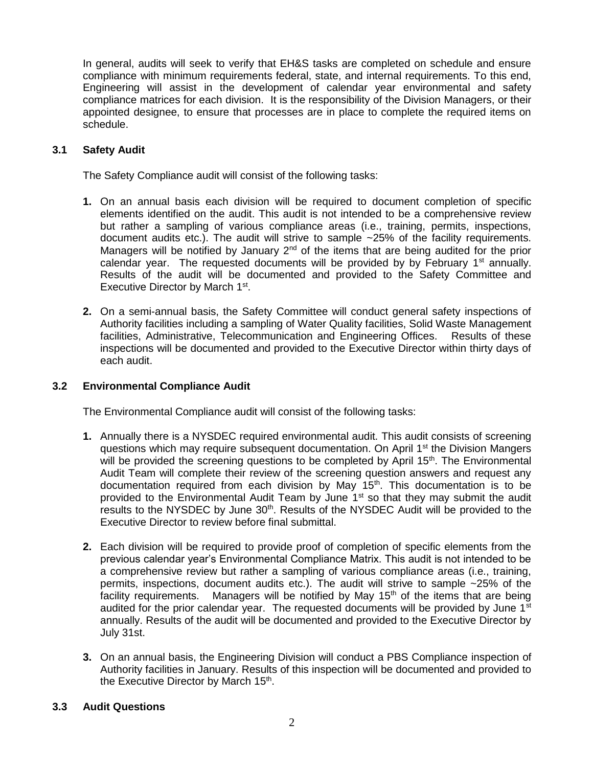In general, audits will seek to verify that EH&S tasks are completed on schedule and ensure compliance with minimum requirements federal, state, and internal requirements. To this end, Engineering will assist in the development of calendar year environmental and safety compliance matrices for each division. It is the responsibility of the Division Managers, or their appointed designee, to ensure that processes are in place to complete the required items on schedule.

## **3.1 Safety Audit**

The Safety Compliance audit will consist of the following tasks:

- **1.** On an annual basis each division will be required to document completion of specific elements identified on the audit. This audit is not intended to be a comprehensive review but rather a sampling of various compliance areas (i.e., training, permits, inspections, document audits etc.). The audit will strive to sample ~25% of the facility requirements. Managers will be notified by January  $2<sup>nd</sup>$  of the items that are being audited for the prior calendar year. The requested documents will be provided by by February  $1<sup>st</sup>$  annually. Results of the audit will be documented and provided to the Safety Committee and Executive Director by March 1<sup>st</sup>.
- **2.** On a semi-annual basis, the Safety Committee will conduct general safety inspections of Authority facilities including a sampling of Water Quality facilities, Solid Waste Management facilities, Administrative, Telecommunication and Engineering Offices. Results of these inspections will be documented and provided to the Executive Director within thirty days of each audit.

## **3.2 Environmental Compliance Audit**

The Environmental Compliance audit will consist of the following tasks:

- **1.** Annually there is a NYSDEC required environmental audit. This audit consists of screening questions which may require subsequent documentation. On April 1<sup>st</sup> the Division Mangers will be provided the screening questions to be completed by April 15<sup>th</sup>. The Environmental Audit Team will complete their review of the screening question answers and request any documentation required from each division by May  $15<sup>th</sup>$ . This documentation is to be provided to the Environmental Audit Team by June 1<sup>st</sup> so that they may submit the audit results to the NYSDEC by June  $30<sup>th</sup>$ . Results of the NYSDEC Audit will be provided to the Executive Director to review before final submittal.
- **2.** Each division will be required to provide proof of completion of specific elements from the previous calendar year's Environmental Compliance Matrix. This audit is not intended to be a comprehensive review but rather a sampling of various compliance areas (i.e., training, permits, inspections, document audits etc.). The audit will strive to sample ~25% of the facility requirements. Managers will be notified by May  $15<sup>th</sup>$  of the items that are being audited for the prior calendar year. The requested documents will be provided by June  $1<sup>st</sup>$ annually. Results of the audit will be documented and provided to the Executive Director by July 31st.
- **3.** On an annual basis, the Engineering Division will conduct a PBS Compliance inspection of Authority facilities in January. Results of this inspection will be documented and provided to the Executive Director by March 15<sup>th</sup>.

#### **3.3 Audit Questions**